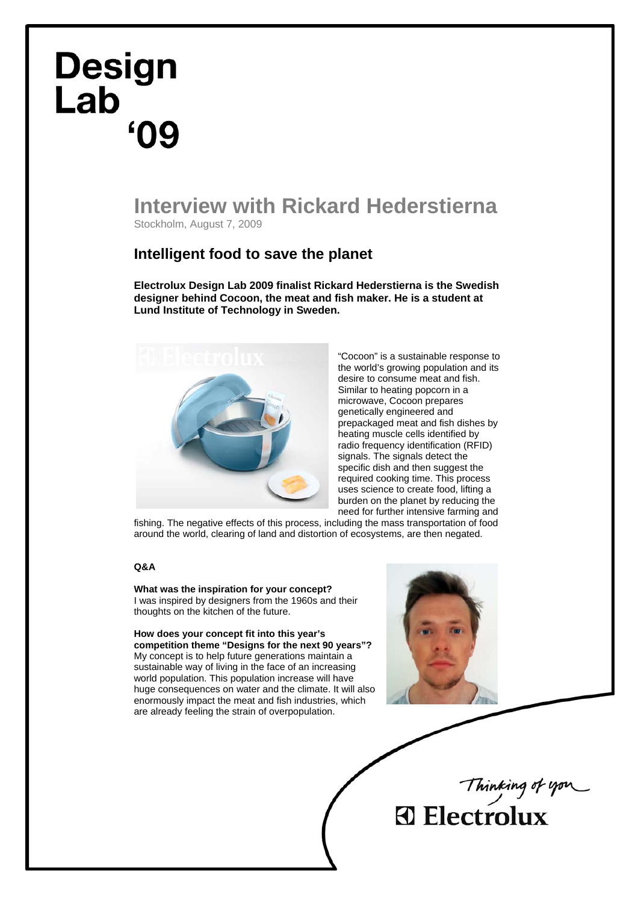# **Design** Lab<sup>-</sup> **'09**

## **Interview with Rickard Hederstierna**  Stockholm, August 7, 2009

## **Intelligent food to save the planet**

**Electrolux Design Lab 2009 finalist Rickard Hederstierna is the Swedish designer behind Cocoon, the meat and fish maker. He is a student at Lund Institute of Technology in Sweden.** 



"Cocoon" is a sustainable response to the world's growing population and its desire to consume meat and fish. Similar to heating popcorn in a microwave, Cocoon prepares genetically engineered and prepackaged meat and fish dishes by heating muscle cells identified by radio frequency identification (RFID) signals. The signals detect the specific dish and then suggest the required cooking time. This process uses science to create food, lifting a burden on the planet by reducing the need for further intensive farming and

fishing. The negative effects of this process, including the mass transportation of food around the world, clearing of land and distortion of ecosystems, are then negated.

#### **Q&A**

**What was the inspiration for your concept?**  I was inspired by designers from the 1960s and their thoughts on the kitchen of the future.

**How does your concept fit into this year's competition theme "Designs for the next 90 years"?**  My concept is to help future generations maintain a sustainable way of living in the face of an increasing world population. This population increase will have huge consequences on water and the climate. It will also enormously impact the meat and fish industries, which are already feeling the strain of overpopulation.



Thinking of you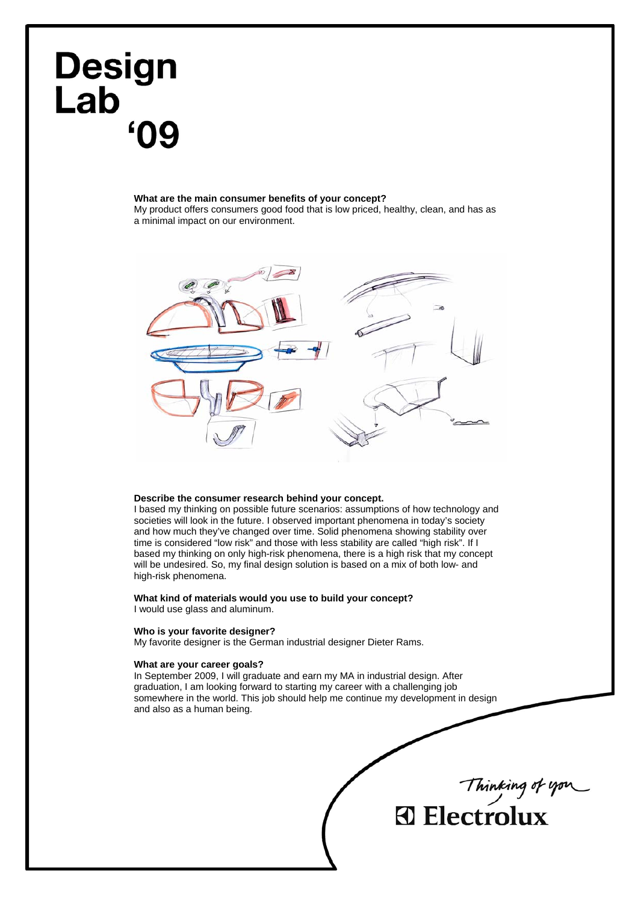# **Design** Lab 09

#### **What are the main consumer benefits of your concept?**

My product offers consumers good food that is low priced, healthy, clean, and has as a minimal impact on our environment.



#### **Describe the consumer research behind your concept.**

I based my thinking on possible future scenarios: assumptions of how technology and societies will look in the future. I observed important phenomena in today's society and how much they've changed over time. Solid phenomena showing stability over time is considered "low risk" and those with less stability are called "high risk". If I based my thinking on only high-risk phenomena, there is a high risk that my concept will be undesired. So, my final design solution is based on a mix of both low- and high-risk phenomena.

#### **What kind of materials would you use to build your concept?**

I would use glass and aluminum.

#### **Who is your favorite designer?**

My favorite designer is the German industrial designer Dieter Rams.

#### **What are your career goals?**

In September 2009, I will graduate and earn my MA in industrial design. After graduation, I am looking forward to starting my career with a challenging job somewhere in the world. This job should help me continue my development in design and also as a human being.

Thinking of you